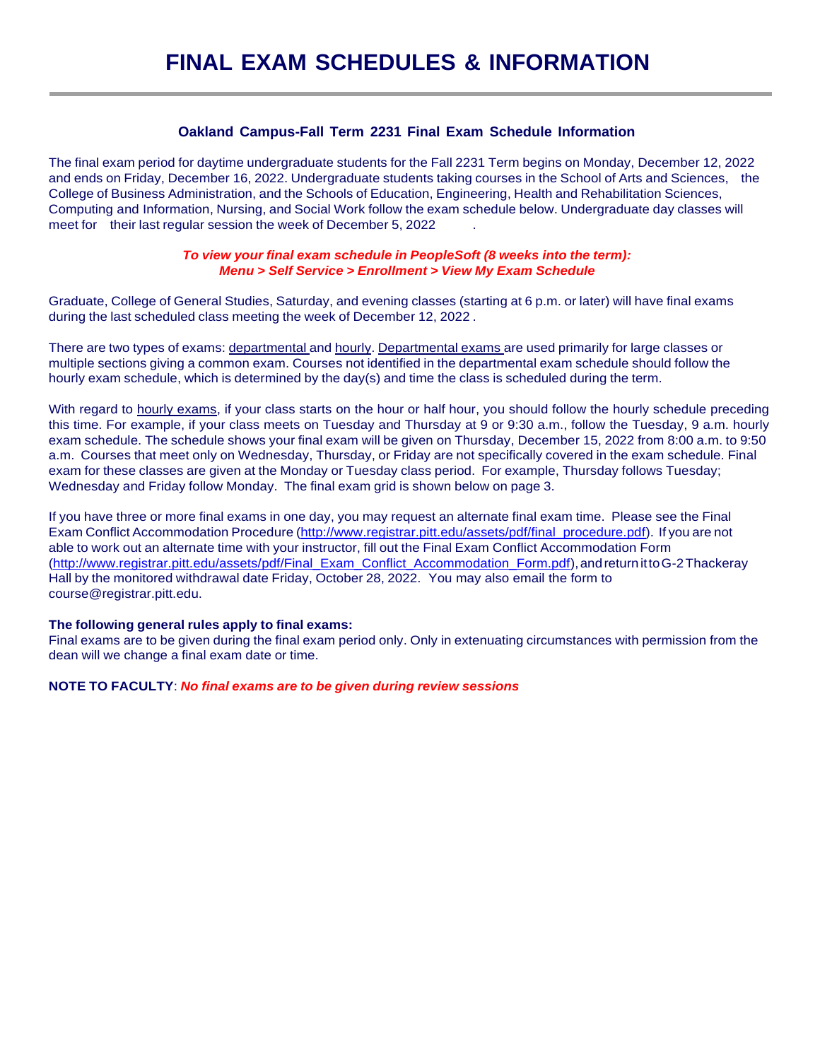## **Oakland Campus-Fall Term 2231 Final Exam Schedule Information**

The final exam period for daytime undergraduate students for the Fall 2231 Term begins on Monday, December 12, 2022 and ends on Friday, December 16, 2022. Undergraduate students taking courses in the School of Arts and Sciences, the College of Business Administration, and the Schools of Education, Engineering, Health and Rehabilitation Sciences, Computing and Information, Nursing, and Social Work follow the exam schedule below. Undergraduate day classes will meet for their last regular session the week of December 5, 2022

## *To view your final exam schedule in PeopleSoft (8 weeks into the term): Menu > Self Service > Enrollment > View My Exam Schedule*

Graduate, College of General Studies, Saturday, and evening classes (starting at 6 p.m. or later) will have final exams during the last scheduled class meeting the week of December 12, 2022 .

There are two types of exams: departmental and hourly. Departmental exams are used primarily for large classes or multiple sections giving a common exam. Courses not identified in the departmental exam schedule should follow the hourly exam schedule, which is determined by the day(s) and time the class is scheduled during the term.

With regard to hourly exams, if your class starts on the hour or half hour, you should follow the hourly schedule preceding this time. For example, if your class meets on Tuesday and Thursday at 9 or 9:30 a.m., follow the Tuesday, 9 a.m. hourly exam schedule. The schedule shows your final exam will be given on Thursday, December 15, 2022 from 8:00 a.m. to 9:50 a.m. Courses that meet only on Wednesday, Thursday, or Friday are not specifically covered in the exam schedule. Final exam for these classes are given at the Monday or Tuesday class period. For example, Thursday follows Tuesday; Wednesday and Friday follow Monday. The final exam grid is shown below on page 3.

If you have three or more final exams in one day, you may request an alternate final exam time. Please see the Final Exam Conflict Accommodation Procedure [\(http://www.registrar.pitt.edu/assets/pdf/final\\_procedure.pdf\).](http://www.registrar.pitt.edu/assets/pdf/final_procedure.pdf)) If you are not able to work out an alternate time with your instructor, fill out the Final Exam Conflict Accommodation Form [\(http://www.registrar.pitt.edu/assets/pdf/Final\\_Exam\\_Conflict\\_Accommodation\\_Form.pdf\),a](http://www.registrar.pitt.edu/assets/pdf/Final_Exam_Conflict_Accommodation_Form.pdf))ndreturnittoG-2Thackeray Hall by the monitored withdrawal date Friday, October 28, 2022. You may also email the form to course@registrar.pitt.edu.

## **The following general rules apply to final exams:**

Final exams are to be given during the final exam period only. Only in extenuating circumstances with permission from the dean will we change a final exam date or time.

**NOTE TO FACULTY**: *No final exams are to be given during review sessions*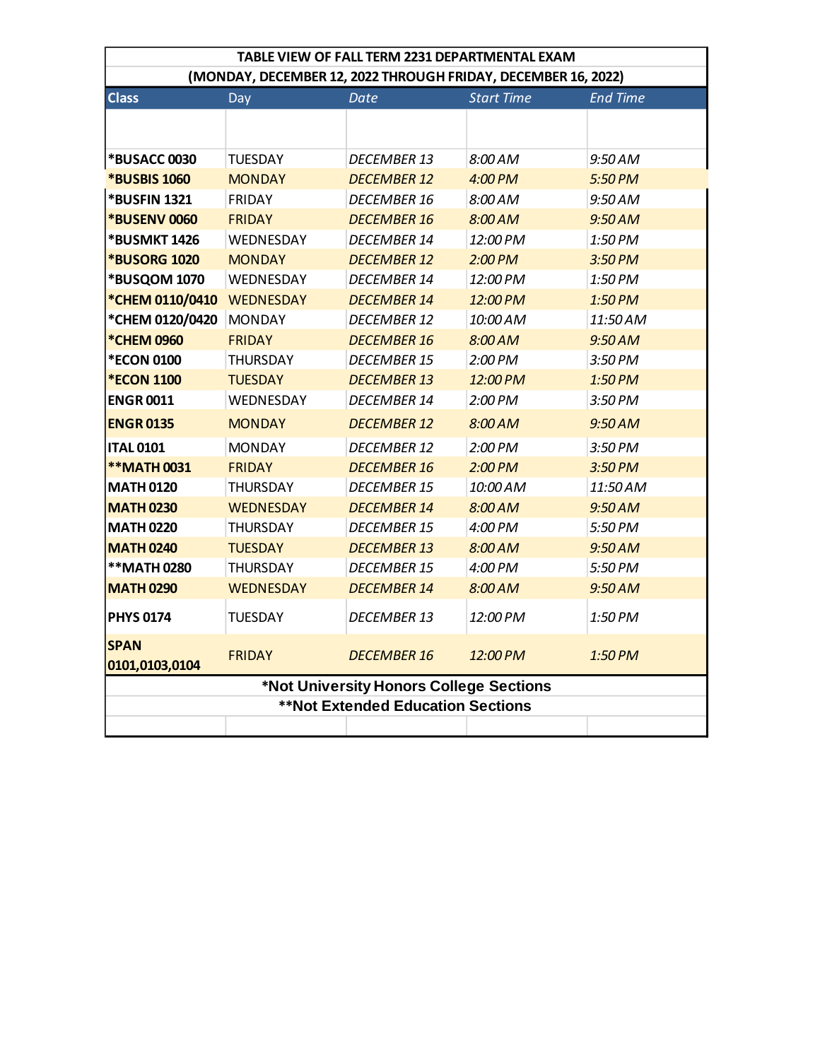| TABLE VIEW OF FALL TERM 2231 DEPARTMENTAL EXAM                |                  |                    |                   |                 |  |  |  |  |
|---------------------------------------------------------------|------------------|--------------------|-------------------|-----------------|--|--|--|--|
| (MONDAY, DECEMBER 12, 2022 THROUGH FRIDAY, DECEMBER 16, 2022) |                  |                    |                   |                 |  |  |  |  |
| <b>Class</b>                                                  | Day              | Date               | <b>Start Time</b> | <b>End Time</b> |  |  |  |  |
|                                                               |                  |                    |                   |                 |  |  |  |  |
| <b>*BUSACC 0030</b>                                           | <b>TUESDAY</b>   | <b>DECEMBER 13</b> | $8:00$ AM         | 9:50 AM         |  |  |  |  |
| <b>*BUSBIS 1060</b>                                           | <b>MONDAY</b>    | <b>DECEMBER 12</b> | 4:00 PM           | 5:50 PM         |  |  |  |  |
| <b>*BUSFIN 1321</b>                                           | <b>FRIDAY</b>    | <b>DECEMBER 16</b> | 8:00 AM           | 9:50 AM         |  |  |  |  |
| <b>*BUSENV 0060</b>                                           | <b>FRIDAY</b>    | <b>DECEMBER 16</b> | 8:00 AM           | 9:50AM          |  |  |  |  |
| <b>*BUSMKT 1426</b>                                           | WEDNESDAY        | DECEMBER 14        | 12:00 PM          | 1:50 PM         |  |  |  |  |
| <b>*BUSORG 1020</b>                                           | <b>MONDAY</b>    | <b>DECEMBER 12</b> | $2:00$ PM         | $3:50$ PM       |  |  |  |  |
| *BUSQOM 1070                                                  | WEDNESDAY        | <b>DECEMBER 14</b> | 12:00 PM          | 1:50 PM         |  |  |  |  |
| *CHEM 0110/0410                                               | <b>WEDNESDAY</b> | <b>DECEMBER 14</b> | 12:00 PM          | 1:50 PM         |  |  |  |  |
| *CHEM 0120/0420                                               | <b>MONDAY</b>    | <b>DECEMBER 12</b> | 10:00 AM          | 11:50 AM        |  |  |  |  |
| *CHEM 0960                                                    | <b>FRIDAY</b>    | <b>DECEMBER 16</b> | 8:00 AM           | 9:50AM          |  |  |  |  |
| <b>*ECON 0100</b>                                             | THURSDAY         | DECEMBER 15        | 2:00 PM           | 3:50 PM         |  |  |  |  |
| <b>*ECON 1100</b>                                             | <b>TUESDAY</b>   | <b>DECEMBER 13</b> | 12:00 PM          | 1:50 PM         |  |  |  |  |
| <b>ENGR0011</b>                                               | WEDNESDAY        | DECEMBER 14        | 2:00 PM           | 3:50 PM         |  |  |  |  |
| <b>ENGR0135</b>                                               | <b>MONDAY</b>    | <b>DECEMBER 12</b> | $8:00$ AM         | 9:50AM          |  |  |  |  |
| <b>ITAL 0101</b>                                              | <b>MONDAY</b>    | <b>DECEMBER 12</b> | 2:00 PM           | 3:50 PM         |  |  |  |  |
| **MATH 0031                                                   | <b>FRIDAY</b>    | <b>DECEMBER 16</b> | $2:00$ PM         | 3:50 PM         |  |  |  |  |
| <b>MATH 0120</b>                                              | <b>THURSDAY</b>  | <b>DECEMBER 15</b> | 10:00 AM          | 11:50 AM        |  |  |  |  |
| <b>MATH 0230</b>                                              | <b>WEDNESDAY</b> | <b>DECEMBER 14</b> | 8:00 AM           | 9:50AM          |  |  |  |  |
| <b>MATH 0220</b>                                              | <b>THURSDAY</b>  | <b>DECEMBER 15</b> | 4:00 PM           | 5:50 PM         |  |  |  |  |
| <b>MATH 0240</b>                                              | <b>TUESDAY</b>   | <b>DECEMBER 13</b> | 8:00 AM           | 9:50AM          |  |  |  |  |
| **MATH 0280                                                   | <b>THURSDAY</b>  | <b>DECEMBER 15</b> | 4:00 PM           | 5:50 PM         |  |  |  |  |
| <b>MATH 0290</b>                                              | <b>WEDNESDAY</b> | <b>DECEMBER 14</b> | 8:00 AM           | 9:50AM          |  |  |  |  |
| <b>PHYS 0174</b>                                              | <b>TUESDAY</b>   | DECEMBER 13        | 12:00 PM          | 1:50 PM         |  |  |  |  |
| <b>SPAN</b><br>0101,0103,0104                                 | <b>FRIDAY</b>    | <b>DECEMBER 16</b> | 12:00 PM          | 1:50 PM         |  |  |  |  |
| *Not University Honors College Sections                       |                  |                    |                   |                 |  |  |  |  |
| <b>**Not Extended Education Sections</b>                      |                  |                    |                   |                 |  |  |  |  |
|                                                               |                  |                    |                   |                 |  |  |  |  |